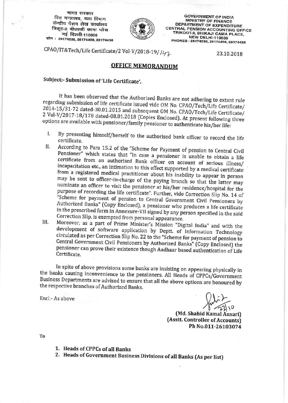भारत सरकार वित्त मन्त्रालय, व्यय विभाग केन्द्रीय पेंशन लेख कार्यालय त्रिकूट-11 भीकाजी कामा प्लेस नई दिल्ली-110066 फोन: 26174596, 26174456, 26174438



**GOVERNMENT OF INDIA MINISTRY OF FINANCE** DEPARTMENT OF EXPENDITURE **CENTRAL PENSION ACCOUNTING OFFICE** TRIKOOT-II, BHIKAJI CAMA PLACE, **NEW DELHI-110066** PHONES: 26174596, 26174456, 26174438

CPAO/IT&Tech/Life Certificate/2 Vol-V/2018-19/142

23.10.2018

## **OFFICE MEMORANDUM**

## Subject:- Submission of 'Life Certificate'.

It has been observed that the Authorized Banks are not adhering to extant rule regarding submission of life certificate issued vide OM No. CPAO/Tech/Life Certificate/ 2014-15/31-72 dated-30.01.2015 and subsequent OM No. CPAO/Tech/Life Certificate/ 2 Vol-V/2017-18/178 dated-08.01.2018 (Copies Enclosed). At present following three options are available with pensioner/family pensioner to authenticate his/her life:

- By presenting himself/herself to the authorised bank officer to record the life I. certificate.
- According to Para 15.2 of the "Scheme for Payment of pension to Central Civil Н. Pensioner" which states that "In case a pensioner is unable to obtain a life certificate from an authorised Bank officer on account of serious illness/ incapacitation etc., an intimation to this effect supported by a medical certificate from a registered medical practitioner about his inability to appear in person may be sent to officer-in-charge of the paying branch so that the latter may nominate an officer to visit the pensioner at his/her residence/hospital for the purpose of recording the life certificate". Further, vide Correction Slip No. 14 of "Scheme for payment of pension to Central Government Civil Pensioners by Authorized Banks" (Copy Enclosed), a pensioner who produces a life certificate in the prescribed form in Annexure-VII signed by any person specified in the said Correction Slip, is exempted from personal appearance.
- Moreover, as a part of Prime Minister's Mission "Digital India" and with the III. development of software application by Deptt. of Information Technology circulated as per Correction Slip No. 22 to the "Scheme for payment of pension to Central Government Civil Pensioners by Authorized Banks" (Copy Enclosed) the pensioner can prove their existence though Aadhaar based authentication of Life Certificate.

In spite of above provisions some banks are insisting on appearing physically in the banks causing inconvenience to the pensioners. All Heads of CPPCs/Government Business Departments are advised to ensure that all the above options are honoured by the respective branches of Authorized Banks.

Encl:- As above

(Md. Shahid Kamal Ansari) (Asstt. Controller of Accounts) Ph No.011-26103074

To

- 1. Heads of CPPCs of all Banks
- 2. Heads of Government Business Divisions of all Banks (As per list)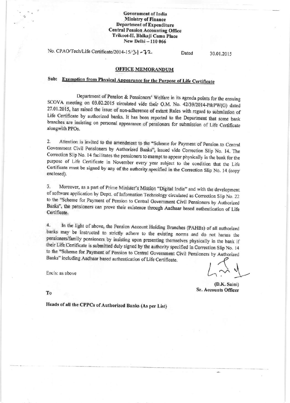### **Government of India Ministry of Finance Department of Expenditure Central Pension Accounting Office** Trikoot-II, Bhikaji Cama Place New Delhi - 110 066

No. CPAO/Tech/Life Certificate/2014-15/3 - 72

Dated

30.01.2015

### **OFFICE MEMORANDUM**

# Sub: Exemption from Physical Appearance for the Purpose of Life Certificate

Department of Pension & Pensioners' Welfare in its agenda points for the ensuing SCOVA meeting on 03.02.2015 circulated vide their O.M. No. 42/39/2014-P&PW(G) dated 27.01.2015, has raised the issue of non-adherence of extant Rules with regard to submission of Life Certificate by authorized banks. It has been reported to the Department that some bank branches are insisting on personal appearance of pensioners for submission of Life Certificate alongwith PPOs.

Attention is invited to the amendment to the "Scheme for Payment of Pension to Central  $\overline{2}$ . Government Civil Pensioners by Authorized Banks", issued vide Correction Slip No. 14. The Correction Slip No. 14 facilitates the pensioners to exempt to appear physically in the bank for the purpose of Life Certificate in November every year subject to the condition that the Life Certificate must be signed by any of the authority specified in the Correction Slip No. 14 (copy enclosed).

Moreover, as a part of Prime Minister's Mission "Digital India" and with the development. 3. of software application by Deptt. of Information Technology circulated as Correction Slip No. 22 to the "Scheme for Payment of Pension to Central Government Civil Pensioners by Authorized Banks", the pensioners can prove their existence through Aadhaar based authentication of Life Certificate.

 $4.$ In the light of above, the Pension Account Holding Branches (PAHBs) of all authorized banks may be instructed to strictly adhere to the existing norms and do not harass the pensioners/family pensioners by insisting upon presenting themselves physically in the bank if their Life Certificate is submitted duly signed by the authority specified in Correction Slip No. 14 to the "Scheme for Payment of Pension to Central Government Civil Pensioners by Authorized Banks" including Aadhaar based authentication of Life Certificate.

Encls: as above

(D.K. Saini) Sr. Accounts Officer

To

Heads of all the CPPCs of Authorized Banks (As per List)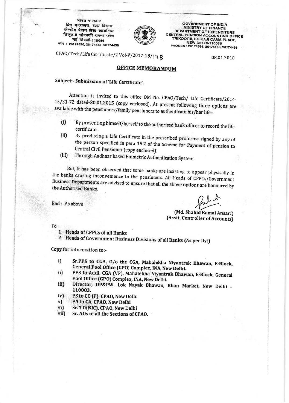भारत सरकार वित्त मन्त्रालय, व्यय विभाग केन्द्रीय पेंशन लेख कार्यालय त्रिकूट-॥ भीकाजी कामा प्लेस नई दिल्ली-110066 फोन: 26174596, 26174456, 26174438



**GOVERNMENT OF INDIA MINISTRY OF FINANCE DEPARTMENT OF EXPENDITURE** CENTRAL PENSION ACCOUNTING OFFICE TRIKOOT-II, BHIKAJI CAMA PLACE, **NEW DELHI-110066** PHONES: 26174596, 26174456, 26174438

CPAO/Tech/Life Certificate/2 Vol-V/2017-18/178

08.01.2018

## **OFFICE MEMORANDUM**

Subject:- Submission of 'Life Certificate'.

Attention is invited to this office OM No. CPAO/Tech/ Life Certificate/2014-15/31-72 dated-30.01.2015 (copy enclosed). At present following three options are available with the pensioners/family pensioners to authenticate his/her life:-

- By presenting himself/herself to the authorised bank officer to record the life  $(i)$ certificate.
- By producing a Life Certificate in the prescribed proforma signed by any of  $(ii)$ the person specified in para 15.2 of the Scheme for Payment of pension to Central Civil Pensioner (copy enclosed).
- Through Aadhaar based Biometric Authentication System.  $(iii)$

But, it has been observed that some banks are insisting to appear physically in the banks causing inconvenience to the pensioners. All Heads of CPPCs/Government Business Departments are advised to ensure that all the above options are honoured by the Authorised Banks.

Encl: - As above

(Md. Shahid Kamal Ansari) (Asstt. Controller of Accounts)

To

- 1. Heads of CPPCs of all Banks
- 2. Heads of Government Business Divisions of all Banks (As per list)

Copy for information to:-

- Sr.PPS to CGA, O/o the CGA, Mahalekha Niyantrak Bhawan, E-Block, i) General Pool Office (GPO) Complex, INA, New Delhi.
- PPS to Addl. CGA (VP), Mahalekha Niyantrak Bhawan, E-Block, General ii) Pool Office (GPO) Complex, INA, New Delhi.
- Director, DP&PW, Lok Nayak Bhawan, Khan Market, New Delhi iii) 110003.
- $iv)$ PS to CC (P), CPAO, New Delhi
- v) PA to CA, CPAO, New Delhi
- Sr. TD(NIC), CPAO, New Delhi vi)
- vii) Sr. AOs of all the Sections of CPAO.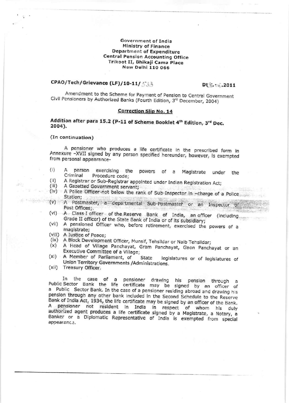#### Government of India **Ministry of Finance Department of Expenditure Central Pension Accounting Office** Trikoot II, Bhikaji Cama Place **New Delhi 110 066**

## CPAO/Tech/Grievance (LF)/10-11/533

Dt . . . . 2011

Amendment to the Scheme for Payment of Pension to Central Government Civil Pensioners by Authorized Banks (Fourth Edition, 3rd December, 2004)

## **Correction Slip No. 14**

## Addition after para 15.2 (P-11 of Scheme Booklet 4th Edition, 3rd Dec. 2004).

#### (In continuation)

A pensioner who produces a life certificate in the prescribed form in Annexure -XVII signed by any person specified hereunder, however, is exempted from personal appearance-

- $(i)$ A person exercising the powers of a Magistrate under the Criminal Procedure code;
- A Registrar or Sub-Registrar appointed under Indian Registration Act;  $(iii)$
- $(iii)$ A Gazetted Government servant;
- (iv) A Police Officer not below the rank of Sub-Inspector in -charge of a Police Station;
- (v) A Postmaster, a departmental Sub-Postmaster or an Inspector of Post Offices;
- (vi) A Class I officer of the Reserve Bank of India, an officer (including Grade II officer) of the State Bank of India or of its subsidiary;
- (vii) A pensioned Officer who, before retirement, exercised the powers of a magistrate:
- (vill) A Justice of Peace;
- (ix) A Block Development Officer, Munsif, Tehsildar or Naib Tehsildar;
- A Head of Village Panchayat, Gram Panchayat, Gaon Panchayat or an  $(x)$ Executive Committee of a Village;
- (xi) A Member of Parliament, of **State** legislatures or of legislatures of Union Territory Governments / Administrations.
- (xii) Treasury Officer.

In the case of a pensioner drawing his pension through a<br>Public Sector Bank the life certificate may be signed by an officer of a Public Sector Bank. In the case of a pensioner residing abroad and drawing his pension through any other bank included in the Second Schedule to the Reserve Bank of India Act, 1934, the life certificate may be signed by an officer of the Bank. A pensioner not resident in India in respect of whom his duly authorized agent produces a life certificate signed by a Magistrate, a Notary, a Banker or a Diplomatic Representative of India is exempted from special appearance.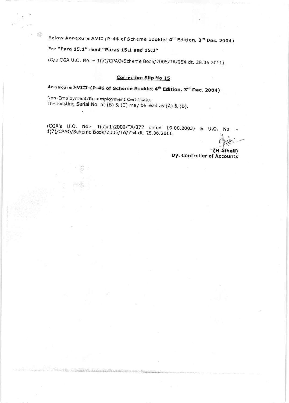Below Annexure XVII (P-44 of Scheme Booklet 4th Edition, 3rd Dec. 2004)

For "Para 15.1" read "Paras 15.1 and 15.2"

慷

(O/o CGA U.O. No. - 1(7)/CPAO/Scheme Book/2005/TA/254 dt. 28.06.2011).

## **Correction Slip No.15**

Annexure XVIII-(P-46 of Scheme Booklet 4th Edition, 3rd Dec. 2004)

Non-Employment/Re-employment Certificate. The existing Serial No. at  $(B)$  &  $(C)$  may be read as  $(A)$  &  $(B)$ .

(CGA's U.O. No.- 1(7)(1)2000/TA/377 dated 19.08.2003) & U.O. No. 1(7)/CPAO/Scheme Book/2005/TA/254 dt. 28.06.2011.

> (H.Atheli) Dy. Controller of Accounts